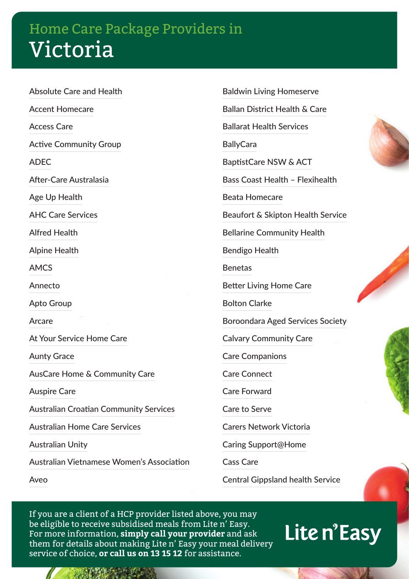Absolute Care and Health Accent Homecare Access Care Active Community Group

ADEC

After-Care Australasia

Age Up Health

AHC Care Services

Alfred Health

Alpine Health

AMCS

Annecto

Apto Group

Arcare

At Your Service Home Care

Aunty Grace

AusCare Home & Community Care

Auspire Care

Australian Croatian Community Services

Australian Home Care Services

Australian Unity

Australian Vietnamese Women's Association

Aveo

Baldwin Living Homeserve Ballan District Health & Care Ballarat Health Services **BallyCara** BaptistCare NSW & ACT Bass Coast Health – Flexihealth Beata Homecare Beaufort & Skipton Health Service Bellarine Community Health Bendigo Health Benetas Better Living Home Care Bolton Clarke Boroondara Aged Services Society Calvary Community Care Care Companions Care Connect Care Forward Care to Serve

Carers Network Victoria

Caring Support@Home

Cass Care

Central Gippsland health Service

If you are a client of a HCP provider listed above, you may be eligible to receive subsidised meals from Lite n' Easy. For more information, **simply call your provider** and ask them for details about making Lite n' Easy your meal delivery service of choice, **or call us on 13 15 12** for assistance.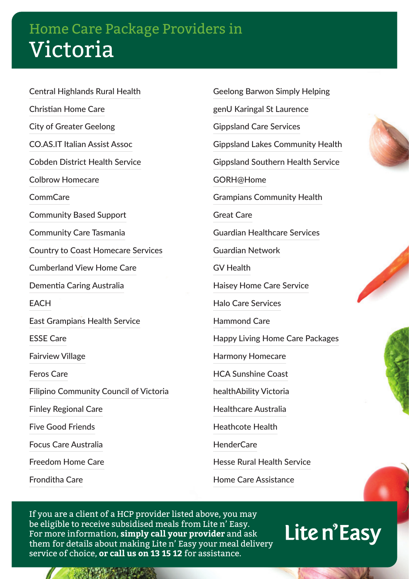Central Highlands Rural Health Christian Home Care City of Greater Geelong CO.AS.IT Italian Assist Assoc Cobden District Health Service Colbrow Homecare CommCare Community Based Support Community Care Tasmania Country to Coast Homecare Services Cumberland View Home Care Dementia Caring Australia EACH East Grampians Health Service ESSE Care Fairview Village Feros Care Filipino Community Council of Victoria Finley Regional Care Five Good Friends Focus Care Australia Freedom Home Care Fronditha Care

Geelong Barwon Simply Helping genU Karingal St Laurence Gippsland Care Services Gippsland Lakes Community Health Gippsland Southern Health Service GORH@Home Grampians Community Health Great Care Guardian Healthcare Services Guardian Network GV Health Haisey Home Care Service Halo Care Services Hammond Care Happy Living Home Care Packages Harmony Homecare HCA Sunshine Coast healthAbility Victoria Healthcare Australia Heathcote Health HenderCare Hesse Rural Health Service Home Care Assistance

If you are a client of a HCP provider listed above, you may be eligible to receive subsidised meals from Lite n' Easy. For more information, **simply call your provider** and ask them for details about making Lite n' Easy your meal delivery service of choice, **or call us on 13 15 12** for assistance.





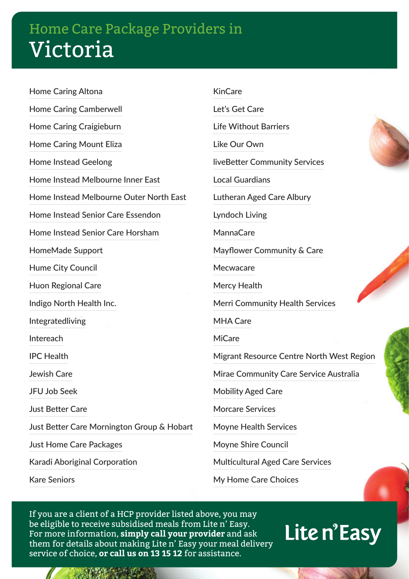Home Caring Altona Home Caring Camberwell Home Caring Craigieburn Home Caring Mount Eliza Home Instead Geelong Home Instead Melbourne Inner East Home Instead Melbourne Outer North East Home Instead Senior Care Essendon Home Instead Senior Care Horsham HomeMade Support Hume City Council Huon Regional Care Indigo North Health Inc. Integratedliving Intereach IPC Health Jewish Care JFU Job Seek Just Better Care Just Better Care Mornington Group & Hobart Just Home Care Packages Karadi Aboriginal Corporation Kare Seniors

KinCare Let's Get Care Life Without Barriers Like Our Own liveBetter Community Services Local Guardians Lutheran Aged Care Albury Lyndoch Living MannaCare Mayflower Community & Care Mecwacare Mercy Health Merri Community Health Services MHA Care MiCare Migrant Resource Centre North West Region Mirae Community Care Service Australia Mobility Aged Care Morcare Services Moyne Health Services Moyne Shire Council Multicultural Aged Care Services

My Home Care Choices

If you are a client of a HCP provider listed above, you may be eligible to receive subsidised meals from Lite n' Easy. For more information, **simply call your provider** and ask them for details about making Lite n' Easy your meal delivery service of choice, **or call us on 13 15 12** for assistance.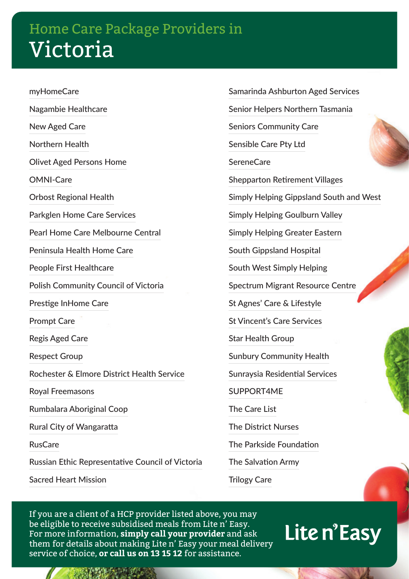myHomeCare Nagambie Healthcare New Aged Care Northern Health Olivet Aged Persons Home OMNI-Care Orbost Regional Health Parkglen Home Care Services Pearl Home Care Melbourne Central Peninsula Health Home Care People First Healthcare Polish Community Council of Victoria Prestige InHome Care Prompt Care Regis Aged Care Respect Group Rochester & Elmore District Health Service Royal Freemasons Rumbalara Aboriginal Coop Rural City of Wangaratta RusCare Russian Ethic Representative Council of Victoria Sacred Heart Mission

Samarinda Ashburton Aged Services Senior Helpers Northern Tasmania Seniors Community Care Sensible Care Pty Ltd **SereneCare** Shepparton Retirement Villages Simply Helping Gippsland South and West Simply Helping Goulburn Valley Simply Helping Greater Eastern South Gippsland Hospital South West Simply Helping Spectrum Migrant Resource Centre St Agnes' Care & Lifestyle St Vincent's Care Services Star Health Group Sunbury Community Health Sunraysia Residential Services SUPPORT4ME The Care List The District Nurses The Parkside Foundation The Salvation Army Trilogy Care

If you are a client of a HCP provider listed above, you may be eligible to receive subsidised meals from Lite n' Easy. For more information, **simply call your provider** and ask them for details about making Lite n' Easy your meal delivery service of choice, **or call us on 13 15 12** for assistance.